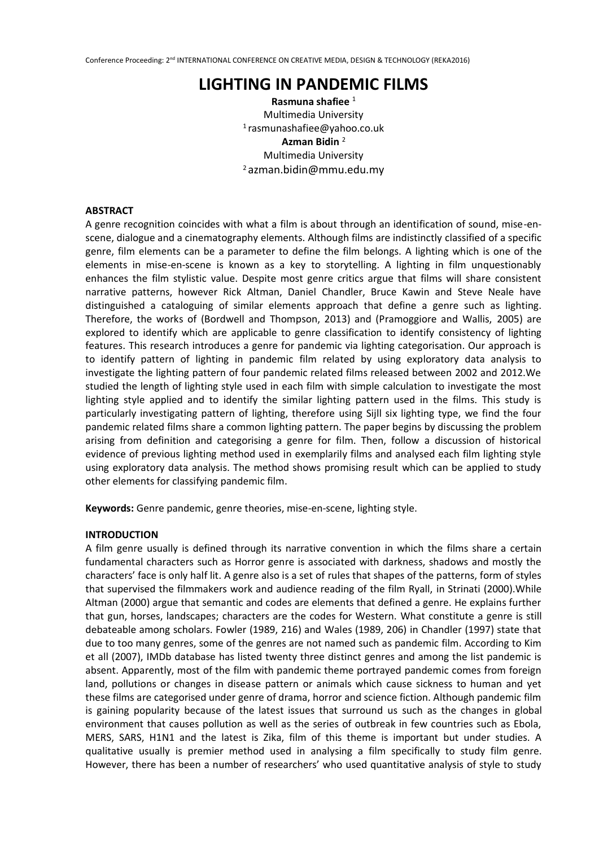# **LIGHTING IN PANDEMIC FILMS**

**Rasmuna shafiee** <sup>1</sup> Multimedia University 1 rasmunashafiee@yahoo.co.uk **Azman Bidin** <sup>2</sup> Multimedia University <sup>2</sup>azman.bidin@mmu.edu.my

### **ABSTRACT**

A genre recognition coincides with what a film is about through an identification of sound, mise-enscene, dialogue and a cinematography elements. Although films are indistinctly classified of a specific genre, film elements can be a parameter to define the film belongs. A lighting which is one of the elements in mise-en-scene is known as a key to storytelling. A lighting in film unquestionably enhances the film stylistic value. Despite most genre critics argue that films will share consistent narrative patterns, however Rick Altman, Daniel Chandler, Bruce Kawin and Steve Neale have distinguished a cataloguing of similar elements approach that define a genre such as lighting. Therefore, the works of (Bordwell and Thompson, 2013) and (Pramoggiore and Wallis, 2005) are explored to identify which are applicable to genre classification to identify consistency of lighting features. This research introduces a genre for pandemic via lighting categorisation. Our approach is to identify pattern of lighting in pandemic film related by using exploratory data analysis to investigate the lighting pattern of four pandemic related films released between 2002 and 2012.We studied the length of lighting style used in each film with simple calculation to investigate the most lighting style applied and to identify the similar lighting pattern used in the films. This study is particularly investigating pattern of lighting, therefore using Sijll six lighting type, we find the four pandemic related films share a common lighting pattern. The paper begins by discussing the problem arising from definition and categorising a genre for film. Then, follow a discussion of historical evidence of previous lighting method used in exemplarily films and analysed each film lighting style using exploratory data analysis. The method shows promising result which can be applied to study other elements for classifying pandemic film.

**Keywords:** Genre pandemic, genre theories, mise-en-scene, lighting style.

## **INTRODUCTION**

A film genre usually is defined through its narrative convention in which the films share a certain fundamental characters such as Horror genre is associated with darkness, shadows and mostly the characters' face is only half lit. A genre also is a set of rules that shapes of the patterns, form of styles that supervised the filmmakers work and audience reading of the film Ryall, in Strinati (2000).While Altman (2000) argue that semantic and codes are elements that defined a genre. He explains further that gun, horses, landscapes; characters are the codes for Western. What constitute a genre is still debateable among scholars. Fowler (1989, 216) and Wales (1989, 206) in Chandler (1997) state that due to too many genres, some of the genres are not named such as pandemic film. According to Kim et all (2007), IMDb database has listed twenty three distinct genres and among the list pandemic is absent. Apparently, most of the film with pandemic theme portrayed pandemic comes from foreign land, pollutions or changes in disease pattern or animals which cause sickness to human and yet these films are categorised under genre of drama, horror and science fiction. Although pandemic film is gaining popularity because of the latest issues that surround us such as the changes in global environment that causes pollution as well as the series of outbreak in few countries such as Ebola, MERS, SARS, H1N1 and the latest is Zika, film of this theme is important but under studies. A qualitative usually is premier method used in analysing a film specifically to study film genre. However, there has been a number of researchers' who used quantitative analysis of style to study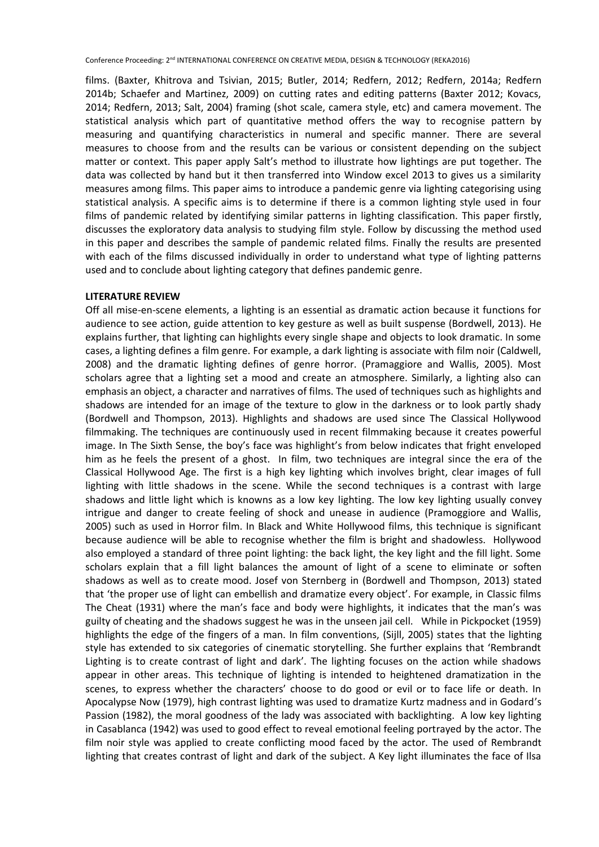films. (Baxter, Khitrova and Tsivian, 2015; Butler, 2014; Redfern, 2012; Redfern, 2014a; Redfern 2014b; Schaefer and Martinez, 2009) on cutting rates and editing patterns (Baxter 2012; Kovacs, 2014; Redfern, 2013; Salt, 2004) framing (shot scale, camera style, etc) and camera movement. The statistical analysis which part of quantitative method offers the way to recognise pattern by measuring and quantifying characteristics in numeral and specific manner. There are several measures to choose from and the results can be various or consistent depending on the subject matter or context. This paper apply Salt's method to illustrate how lightings are put together. The data was collected by hand but it then transferred into Window excel 2013 to gives us a similarity measures among films. This paper aims to introduce a pandemic genre via lighting categorising using statistical analysis. A specific aims is to determine if there is a common lighting style used in four films of pandemic related by identifying similar patterns in lighting classification. This paper firstly, discusses the exploratory data analysis to studying film style. Follow by discussing the method used in this paper and describes the sample of pandemic related films. Finally the results are presented with each of the films discussed individually in order to understand what type of lighting patterns used and to conclude about lighting category that defines pandemic genre.

#### **LITERATURE REVIEW**

Off all mise-en-scene elements, a lighting is an essential as dramatic action because it functions for audience to see action, guide attention to key gesture as well as built suspense (Bordwell, 2013). He explains further, that lighting can highlights every single shape and objects to look dramatic. In some cases, a lighting defines a film genre. For example, a dark lighting is associate with film noir (Caldwell, 2008) and the dramatic lighting defines of genre horror. (Pramaggiore and Wallis, 2005). Most scholars agree that a lighting set a mood and create an atmosphere. Similarly, a lighting also can emphasis an object, a character and narratives of films. The used of techniques such as highlights and shadows are intended for an image of the texture to glow in the darkness or to look partly shady (Bordwell and Thompson, 2013). Highlights and shadows are used since The Classical Hollywood filmmaking. The techniques are continuously used in recent filmmaking because it creates powerful image. In The Sixth Sense, the boy's face was highlight's from below indicates that fright enveloped him as he feels the present of a ghost. In film, two techniques are integral since the era of the Classical Hollywood Age. The first is a high key lighting which involves bright, clear images of full lighting with little shadows in the scene. While the second techniques is a contrast with large shadows and little light which is knowns as a low key lighting. The low key lighting usually convey intrigue and danger to create feeling of shock and unease in audience (Pramoggiore and Wallis, 2005) such as used in Horror film. In Black and White Hollywood films, this technique is significant because audience will be able to recognise whether the film is bright and shadowless. Hollywood also employed a standard of three point lighting: the back light, the key light and the fill light. Some scholars explain that a fill light balances the amount of light of a scene to eliminate or soften shadows as well as to create mood. Josef von Sternberg in (Bordwell and Thompson, 2013) stated that 'the proper use of light can embellish and dramatize every object'. For example, in Classic films The Cheat (1931) where the man's face and body were highlights, it indicates that the man's was guilty of cheating and the shadows suggest he was in the unseen jail cell. While in Pickpocket (1959) highlights the edge of the fingers of a man. In film conventions, (Sijll, 2005) states that the lighting style has extended to six categories of cinematic storytelling. She further explains that 'Rembrandt Lighting is to create contrast of light and dark'. The lighting focuses on the action while shadows appear in other areas. This technique of lighting is intended to heightened dramatization in the scenes, to express whether the characters' choose to do good or evil or to face life or death. In Apocalypse Now (1979), high contrast lighting was used to dramatize Kurtz madness and in Godard's Passion (1982), the moral goodness of the lady was associated with backlighting. A low key lighting in Casablanca (1942) was used to good effect to reveal emotional feeling portrayed by the actor. The film noir style was applied to create conflicting mood faced by the actor. The used of Rembrandt lighting that creates contrast of light and dark of the subject. A Key light illuminates the face of Ilsa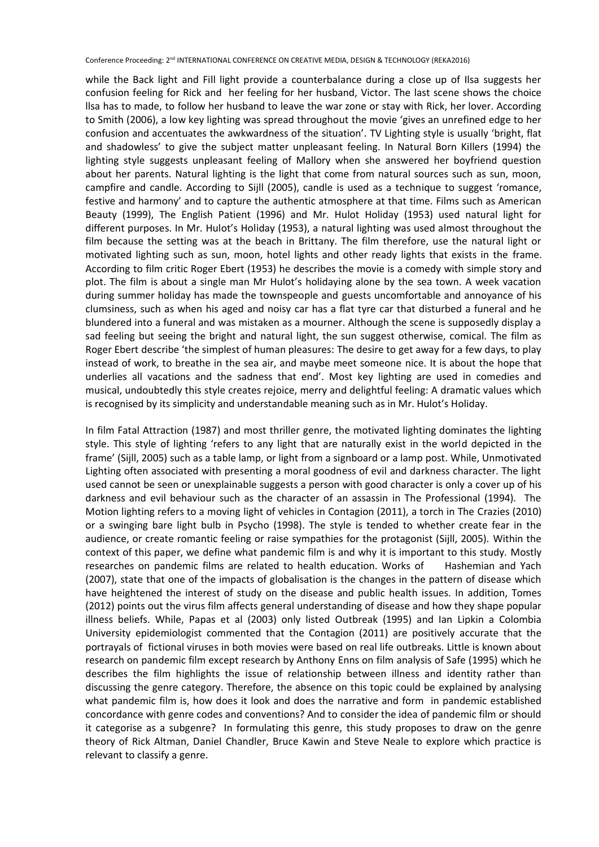while the Back light and Fill light provide a counterbalance during a close up of Ilsa suggests her confusion feeling for Rick and her feeling for her husband, Victor. The last scene shows the choice llsa has to made, to follow her husband to leave the war zone or stay with Rick, her lover. According to Smith (2006), a low key lighting was spread throughout the movie 'gives an unrefined edge to her confusion and accentuates the awkwardness of the situation'. TV Lighting style is usually 'bright, flat and shadowless' to give the subject matter unpleasant feeling. In Natural Born Killers (1994) the lighting style suggests unpleasant feeling of Mallory when she answered her boyfriend question about her parents. Natural lighting is the light that come from natural sources such as sun, moon, campfire and candle. According to Sijll (2005), candle is used as a technique to suggest 'romance, festive and harmony' and to capture the authentic atmosphere at that time. Films such as American Beauty (1999), The English Patient (1996) and Mr. Hulot Holiday (1953) used natural light for different purposes. In Mr. Hulot's Holiday (1953), a natural lighting was used almost throughout the film because the setting was at the beach in Brittany. The film therefore, use the natural light or motivated lighting such as sun, moon, hotel lights and other ready lights that exists in the frame. According to film critic Roger Ebert (1953) he describes the movie is a comedy with simple story and plot. The film is about a single man Mr Hulot's holidaying alone by the sea town. A week vacation during summer holiday has made the townspeople and guests uncomfortable and annoyance of his clumsiness, such as when his aged and noisy car has a flat tyre car that disturbed a funeral and he blundered into a funeral and was mistaken as a mourner. Although the scene is supposedly display a sad feeling but seeing the bright and natural light, the sun suggest otherwise, comical. The film as Roger Ebert describe 'the simplest of human pleasures: The desire to get away for a few days, to play instead of work, to breathe in the sea air, and maybe meet someone nice. It is about the hope that underlies all vacations and the sadness that end'. Most key lighting are used in comedies and musical, undoubtedly this style creates rejoice, merry and delightful feeling: A dramatic values which is recognised by its simplicity and understandable meaning such as in Mr. Hulot's Holiday.

In film Fatal Attraction (1987) and most thriller genre, the motivated lighting dominates the lighting style. This style of lighting 'refers to any light that are naturally exist in the world depicted in the frame' (Sijll, 2005) such as a table lamp, or light from a signboard or a lamp post. While, Unmotivated Lighting often associated with presenting a moral goodness of evil and darkness character. The light used cannot be seen or unexplainable suggests a person with good character is only a cover up of his darkness and evil behaviour such as the character of an assassin in The Professional (1994). The Motion lighting refers to a moving light of vehicles in Contagion (2011), a torch in The Crazies (2010) or a swinging bare light bulb in Psycho (1998). The style is tended to whether create fear in the audience, or create romantic feeling or raise sympathies for the protagonist (Sijll, 2005). Within the context of this paper, we define what pandemic film is and why it is important to this study. Mostly researches on pandemic films are related to health education. Works of Hashemian and Yach (2007), state that one of the impacts of globalisation is the changes in the pattern of disease which have heightened the interest of study on the disease and public health issues. In addition, Tomes (2012) points out the virus film affects general understanding of disease and how they shape popular illness beliefs. While, Papas et al (2003) only listed Outbreak (1995) and Ian Lipkin a Colombia University epidemiologist commented that the Contagion (2011) are positively accurate that the portrayals of fictional viruses in both movies were based on real life outbreaks. Little is known about research on pandemic film except research by Anthony Enns on film analysis of Safe (1995) which he describes the film highlights the issue of relationship between illness and identity rather than discussing the genre category. Therefore, the absence on this topic could be explained by analysing what pandemic film is, how does it look and does the narrative and form in pandemic established concordance with genre codes and conventions? And to consider the idea of pandemic film or should it categorise as a subgenre? In formulating this genre, this study proposes to draw on the genre theory of Rick Altman, Daniel Chandler, Bruce Kawin and Steve Neale to explore which practice is relevant to classify a genre.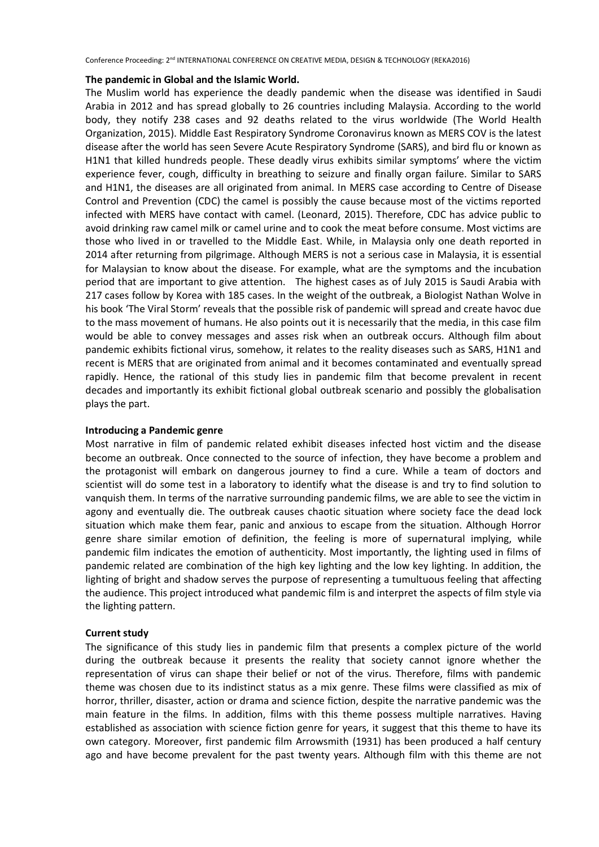#### **The pandemic in Global and the Islamic World.**

The Muslim world has experience the deadly pandemic when the disease was identified in Saudi Arabia in 2012 and has spread globally to 26 countries including Malaysia. According to the world body, they notify 238 cases and 92 deaths related to the virus worldwide (The World Health Organization, 2015). Middle East Respiratory Syndrome Coronavirus known as MERS COV is the latest disease after the world has seen Severe Acute Respiratory Syndrome (SARS), and bird flu or known as H1N1 that killed hundreds people. These deadly virus exhibits similar symptoms' where the victim experience fever, cough, difficulty in breathing to seizure and finally organ failure. Similar to SARS and H1N1, the diseases are all originated from animal. In MERS case according to Centre of Disease Control and Prevention (CDC) the camel is possibly the cause because most of the victims reported infected with MERS have contact with camel. (Leonard, 2015). Therefore, CDC has advice public to avoid drinking raw camel milk or camel urine and to cook the meat before consume. Most victims are those who lived in or travelled to the Middle East. While, in Malaysia only one death reported in 2014 after returning from pilgrimage. Although MERS is not a serious case in Malaysia, it is essential for Malaysian to know about the disease. For example, what are the symptoms and the incubation period that are important to give attention. The highest cases as of July 2015 is Saudi Arabia with 217 cases follow by Korea with 185 cases. In the weight of the outbreak, a Biologist Nathan Wolve in his book 'The Viral Storm' reveals that the possible risk of pandemic will spread and create havoc due to the mass movement of humans. He also points out it is necessarily that the media, in this case film would be able to convey messages and asses risk when an outbreak occurs. Although film about pandemic exhibits fictional virus, somehow, it relates to the reality diseases such as SARS, H1N1 and recent is MERS that are originated from animal and it becomes contaminated and eventually spread rapidly. Hence, the rational of this study lies in pandemic film that become prevalent in recent decades and importantly its exhibit fictional global outbreak scenario and possibly the globalisation plays the part.

### **Introducing a Pandemic genre**

Most narrative in film of pandemic related exhibit diseases infected host victim and the disease become an outbreak. Once connected to the source of infection, they have become a problem and the protagonist will embark on dangerous journey to find a cure. While a team of doctors and scientist will do some test in a laboratory to identify what the disease is and try to find solution to vanquish them. In terms of the narrative surrounding pandemic films, we are able to see the victim in agony and eventually die. The outbreak causes chaotic situation where society face the dead lock situation which make them fear, panic and anxious to escape from the situation. Although Horror genre share similar emotion of definition, the feeling is more of supernatural implying, while pandemic film indicates the emotion of authenticity. Most importantly, the lighting used in films of pandemic related are combination of the high key lighting and the low key lighting. In addition, the lighting of bright and shadow serves the purpose of representing a tumultuous feeling that affecting the audience. This project introduced what pandemic film is and interpret the aspects of film style via the lighting pattern.

### **Current study**

The significance of this study lies in pandemic film that presents a complex picture of the world during the outbreak because it presents the reality that society cannot ignore whether the representation of virus can shape their belief or not of the virus. Therefore, films with pandemic theme was chosen due to its indistinct status as a mix genre. These films were classified as mix of horror, thriller, disaster, action or drama and science fiction, despite the narrative pandemic was the main feature in the films. In addition, films with this theme possess multiple narratives. Having established as association with science fiction genre for years, it suggest that this theme to have its own category. Moreover, first pandemic film Arrowsmith (1931) has been produced a half century ago and have become prevalent for the past twenty years. Although film with this theme are not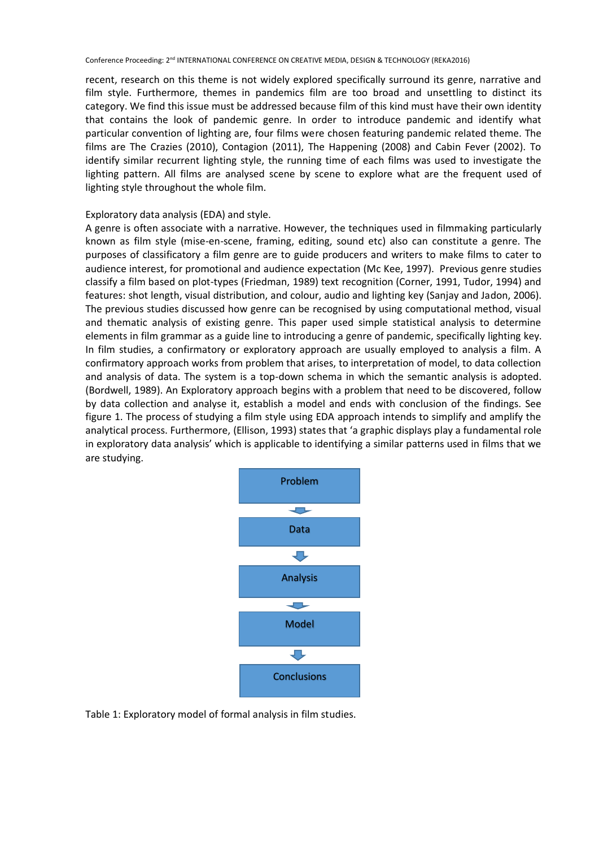recent, research on this theme is not widely explored specifically surround its genre, narrative and film style. Furthermore, themes in pandemics film are too broad and unsettling to distinct its category. We find this issue must be addressed because film of this kind must have their own identity that contains the look of pandemic genre. In order to introduce pandemic and identify what particular convention of lighting are, four films were chosen featuring pandemic related theme. The films are The Crazies (2010), Contagion (2011), The Happening (2008) and Cabin Fever (2002). To identify similar recurrent lighting style, the running time of each films was used to investigate the lighting pattern. All films are analysed scene by scene to explore what are the frequent used of lighting style throughout the whole film.

## Exploratory data analysis (EDA) and style.

A genre is often associate with a narrative. However, the techniques used in filmmaking particularly known as film style (mise-en-scene, framing, editing, sound etc) also can constitute a genre. The purposes of classificatory a film genre are to guide producers and writers to make films to cater to audience interest, for promotional and audience expectation (Mc Kee, 1997). Previous genre studies classify a film based on plot-types (Friedman, 1989) text recognition (Corner, 1991, Tudor, 1994) and features: shot length, visual distribution, and colour, audio and lighting key (Sanjay and Jadon, 2006). The previous studies discussed how genre can be recognised by using computational method, visual and thematic analysis of existing genre. This paper used simple statistical analysis to determine elements in film grammar as a guide line to introducing a genre of pandemic, specifically lighting key. In film studies, a confirmatory or exploratory approach are usually employed to analysis a film. A confirmatory approach works from problem that arises, to interpretation of model, to data collection and analysis of data. The system is a top-down schema in which the semantic analysis is adopted. (Bordwell, 1989). An Exploratory approach begins with a problem that need to be discovered, follow by data collection and analyse it, establish a model and ends with conclusion of the findings. See figure 1. The process of studying a film style using EDA approach intends to simplify and amplify the analytical process. Furthermore, (Ellison, 1993) states that 'a graphic displays play a fundamental role in exploratory data analysis' which is applicable to identifying a similar patterns used in films that we are studying.



Table 1: Exploratory model of formal analysis in film studies.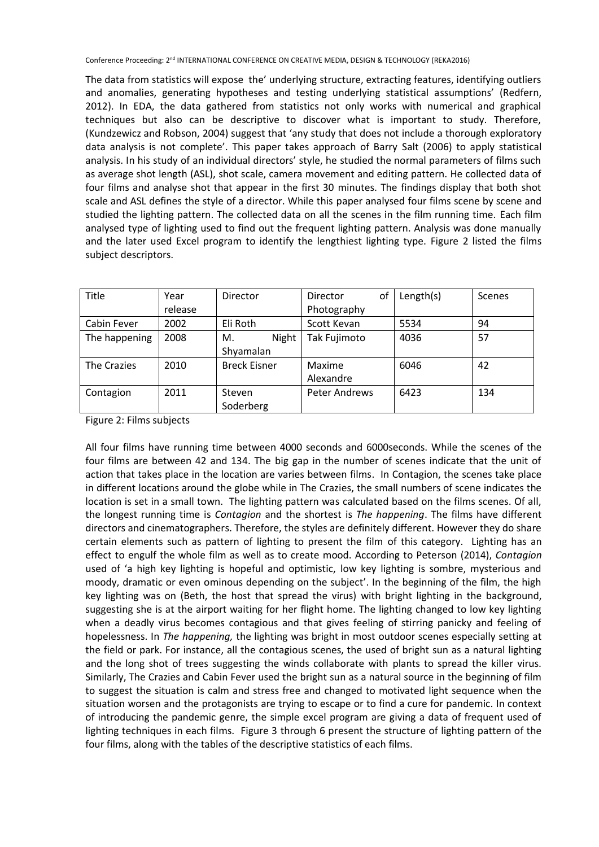The data from statistics will expose the' underlying structure, extracting features, identifying outliers and anomalies, generating hypotheses and testing underlying statistical assumptions' (Redfern, 2012). In EDA, the data gathered from statistics not only works with numerical and graphical techniques but also can be descriptive to discover what is important to study. Therefore, (Kundzewicz and Robson, 2004) suggest that 'any study that does not include a thorough exploratory data analysis is not complete'. This paper takes approach of Barry Salt (2006) to apply statistical analysis. In his study of an individual directors' style, he studied the normal parameters of films such as average shot length (ASL), shot scale, camera movement and editing pattern. He collected data of four films and analyse shot that appear in the first 30 minutes. The findings display that both shot scale and ASL defines the style of a director. While this paper analysed four films scene by scene and studied the lighting pattern. The collected data on all the scenes in the film running time. Each film analysed type of lighting used to find out the frequent lighting pattern. Analysis was done manually and the later used Excel program to identify the lengthiest lighting type. Figure 2 listed the films subject descriptors.

| Title         | Year<br>release | Director                 | of<br>Director<br>Photography | Length(s) | Scenes |
|---------------|-----------------|--------------------------|-------------------------------|-----------|--------|
| Cabin Fever   | 2002            | Eli Roth                 | Scott Kevan                   | 5534      | 94     |
| The happening | 2008            | Night<br>М.<br>Shyamalan | Tak Fujimoto                  | 4036      | 57     |
| The Crazies   | 2010            | <b>Breck Eisner</b>      | Maxime<br>Alexandre           | 6046      | 42     |
| Contagion     | 2011            | Steven<br>Soderberg      | <b>Peter Andrews</b>          | 6423      | 134    |

Figure 2: Films subjects

All four films have running time between 4000 seconds and 6000seconds. While the scenes of the four films are between 42 and 134. The big gap in the number of scenes indicate that the unit of action that takes place in the location are varies between films. In Contagion, the scenes take place in different locations around the globe while in The Crazies, the small numbers of scene indicates the location is set in a small town. The lighting pattern was calculated based on the films scenes. Of all, the longest running time is *Contagion* and the shortest is *The happening*. The films have different directors and cinematographers. Therefore, the styles are definitely different. However they do share certain elements such as pattern of lighting to present the film of this category. Lighting has an effect to engulf the whole film as well as to create mood. According to Peterson (2014), *Contagion* used of 'a high key lighting is hopeful and optimistic, low key lighting is sombre, mysterious and moody, dramatic or even ominous depending on the subject'. In the beginning of the film, the high key lighting was on (Beth, the host that spread the virus) with bright lighting in the background, suggesting she is at the airport waiting for her flight home. The lighting changed to low key lighting when a deadly virus becomes contagious and that gives feeling of stirring panicky and feeling of hopelessness. In *The happening,* the lighting was bright in most outdoor scenes especially setting at the field or park. For instance, all the contagious scenes, the used of bright sun as a natural lighting and the long shot of trees suggesting the winds collaborate with plants to spread the killer virus. Similarly, The Crazies and Cabin Fever used the bright sun as a natural source in the beginning of film to suggest the situation is calm and stress free and changed to motivated light sequence when the situation worsen and the protagonists are trying to escape or to find a cure for pandemic. In context of introducing the pandemic genre, the simple excel program are giving a data of frequent used of lighting techniques in each films. Figure 3 through 6 present the structure of lighting pattern of the four films, along with the tables of the descriptive statistics of each films.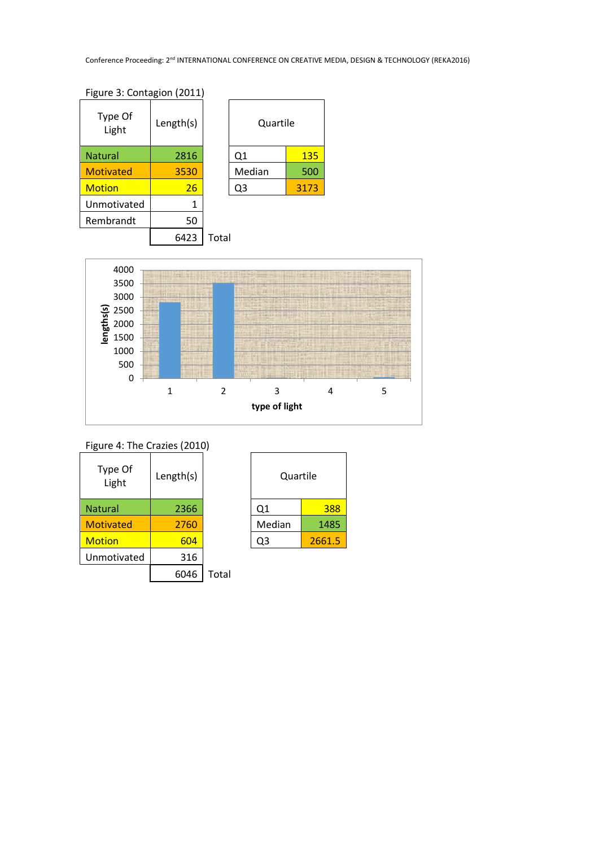| Type Of<br>Light | Length(s) |       | Quartile |      |
|------------------|-----------|-------|----------|------|
| <b>Natural</b>   | 2816      |       | Q1       | 135  |
| <b>Motivated</b> | 3530      |       | Median   | 500  |
| <b>Motion</b>    | 26        |       | Q3       | 3173 |
| Unmotivated      | 1         |       |          |      |
| Rembrandt        | 50        |       |          |      |
|                  | 6423      | Total |          |      |

| Quartile |      |  |  |
|----------|------|--|--|
| Q1       | 135  |  |  |
| Median   | 500  |  |  |
| Q3       | 3173 |  |  |
|          |      |  |  |



| Figure 4: The Crazies (2010) |           |       |          |        |
|------------------------------|-----------|-------|----------|--------|
| Type Of<br>Light             | Length(s) |       | Quartile |        |
| <b>Natural</b>               | 2366      |       | Q1       | 388    |
| <b>Motivated</b>             | 2760      |       | Median   | 1485   |
| <b>Motion</b>                | 604       |       | Q3       | 2661.5 |
| Unmotivated                  | 316       |       |          |        |
|                              | 6046      | Total |          |        |

| Quartile |        |  |  |
|----------|--------|--|--|
| Q1       | 388    |  |  |
| Median   | 1485   |  |  |
| )3       | 2661.5 |  |  |
|          |        |  |  |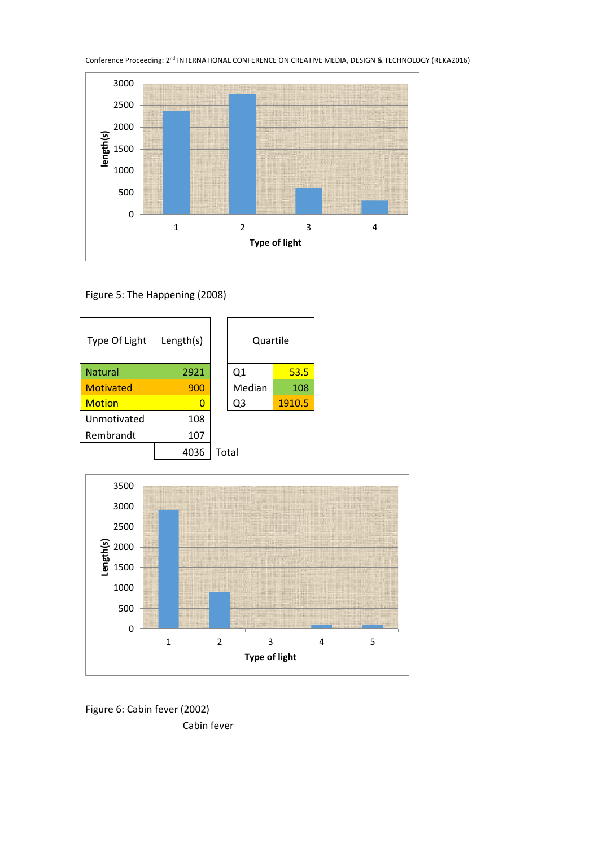

Figure 5: The Happening (2008)





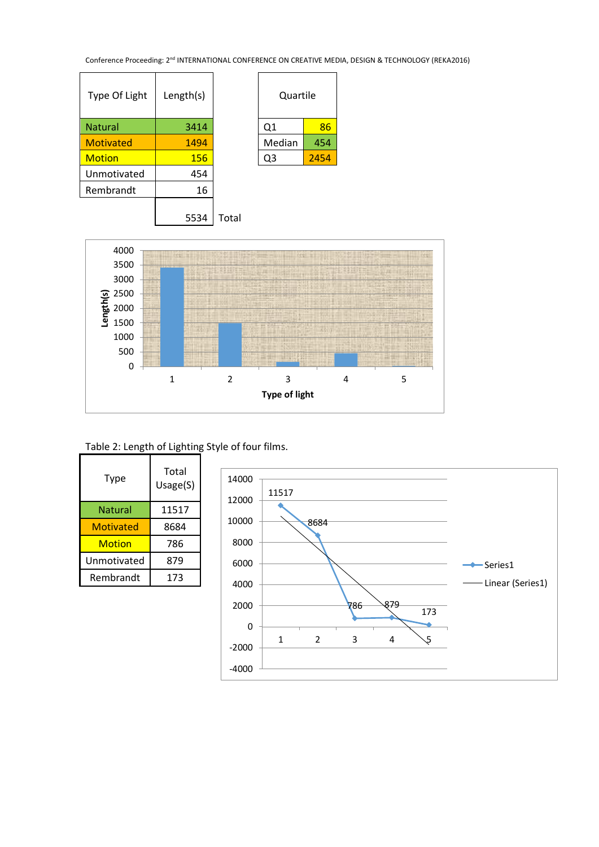$\overline{\Gamma}$ 

| Type Of Light    | Length(s) | Quartile |      |
|------------------|-----------|----------|------|
| <b>Natural</b>   | 3414      | Q1       | 86   |
| <b>Motivated</b> | 1494      | Median   | 454  |
| <b>Motion</b>    | 156       | Q3       | 2454 |
| Unmotivated      | 454       |          |      |
| Rembrandt        | 16        |          |      |
|                  |           |          |      |

| Quartile |      |  |
|----------|------|--|
| Q1       | 86   |  |
| Median   | 454  |  |
| )3       | 2454 |  |
|          |      |  |

## 5534 Total



## Table 2: Length of Lighting Style of four films.

| Type        | Total<br>Usage(S) |
|-------------|-------------------|
| Natural     | 11517             |
| Motivated   | 8684              |
| Motion      | 786               |
| Unmotivated | 879               |
| Rembrandt   | 173               |

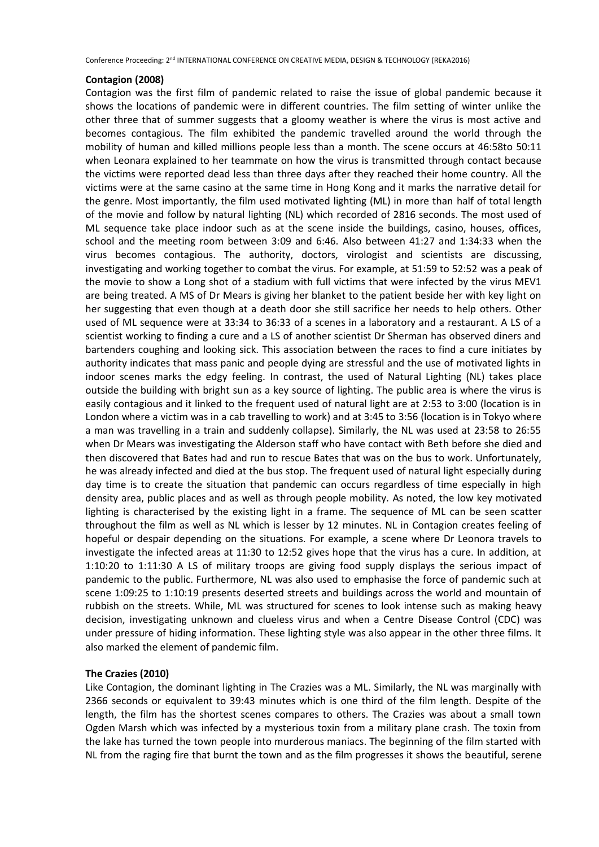## **Contagion (2008)**

Contagion was the first film of pandemic related to raise the issue of global pandemic because it shows the locations of pandemic were in different countries. The film setting of winter unlike the other three that of summer suggests that a gloomy weather is where the virus is most active and becomes contagious. The film exhibited the pandemic travelled around the world through the mobility of human and killed millions people less than a month. The scene occurs at 46:58to 50:11 when Leonara explained to her teammate on how the virus is transmitted through contact because the victims were reported dead less than three days after they reached their home country. All the victims were at the same casino at the same time in Hong Kong and it marks the narrative detail for the genre. Most importantly, the film used motivated lighting (ML) in more than half of total length of the movie and follow by natural lighting (NL) which recorded of 2816 seconds. The most used of ML sequence take place indoor such as at the scene inside the buildings, casino, houses, offices, school and the meeting room between 3:09 and 6:46. Also between 41:27 and 1:34:33 when the virus becomes contagious. The authority, doctors, virologist and scientists are discussing, investigating and working together to combat the virus. For example, at 51:59 to 52:52 was a peak of the movie to show a Long shot of a stadium with full victims that were infected by the virus MEV1 are being treated. A MS of Dr Mears is giving her blanket to the patient beside her with key light on her suggesting that even though at a death door she still sacrifice her needs to help others. Other used of ML sequence were at 33:34 to 36:33 of a scenes in a laboratory and a restaurant. A LS of a scientist working to finding a cure and a LS of another scientist Dr Sherman has observed diners and bartenders coughing and looking sick. This association between the races to find a cure initiates by authority indicates that mass panic and people dying are stressful and the use of motivated lights in indoor scenes marks the edgy feeling. In contrast, the used of Natural Lighting (NL) takes place outside the building with bright sun as a key source of lighting. The public area is where the virus is easily contagious and it linked to the frequent used of natural light are at 2:53 to 3:00 (location is in London where a victim was in a cab travelling to work) and at 3:45 to 3:56 (location is in Tokyo where a man was travelling in a train and suddenly collapse). Similarly, the NL was used at 23:58 to 26:55 when Dr Mears was investigating the Alderson staff who have contact with Beth before she died and then discovered that Bates had and run to rescue Bates that was on the bus to work. Unfortunately, he was already infected and died at the bus stop. The frequent used of natural light especially during day time is to create the situation that pandemic can occurs regardless of time especially in high density area, public places and as well as through people mobility. As noted, the low key motivated lighting is characterised by the existing light in a frame. The sequence of ML can be seen scatter throughout the film as well as NL which is lesser by 12 minutes. NL in Contagion creates feeling of hopeful or despair depending on the situations. For example, a scene where Dr Leonora travels to investigate the infected areas at 11:30 to 12:52 gives hope that the virus has a cure. In addition, at 1:10:20 to 1:11:30 A LS of military troops are giving food supply displays the serious impact of pandemic to the public. Furthermore, NL was also used to emphasise the force of pandemic such at scene 1:09:25 to 1:10:19 presents deserted streets and buildings across the world and mountain of rubbish on the streets. While, ML was structured for scenes to look intense such as making heavy decision, investigating unknown and clueless virus and when a Centre Disease Control (CDC) was under pressure of hiding information. These lighting style was also appear in the other three films. It also marked the element of pandemic film.

## **The Crazies (2010)**

Like Contagion, the dominant lighting in The Crazies was a ML. Similarly, the NL was marginally with 2366 seconds or equivalent to 39:43 minutes which is one third of the film length. Despite of the length, the film has the shortest scenes compares to others. The Crazies was about a small town Ogden Marsh which was infected by a mysterious toxin from a military plane crash. The toxin from the lake has turned the town people into murderous maniacs. The beginning of the film started with NL from the raging fire that burnt the town and as the film progresses it shows the beautiful, serene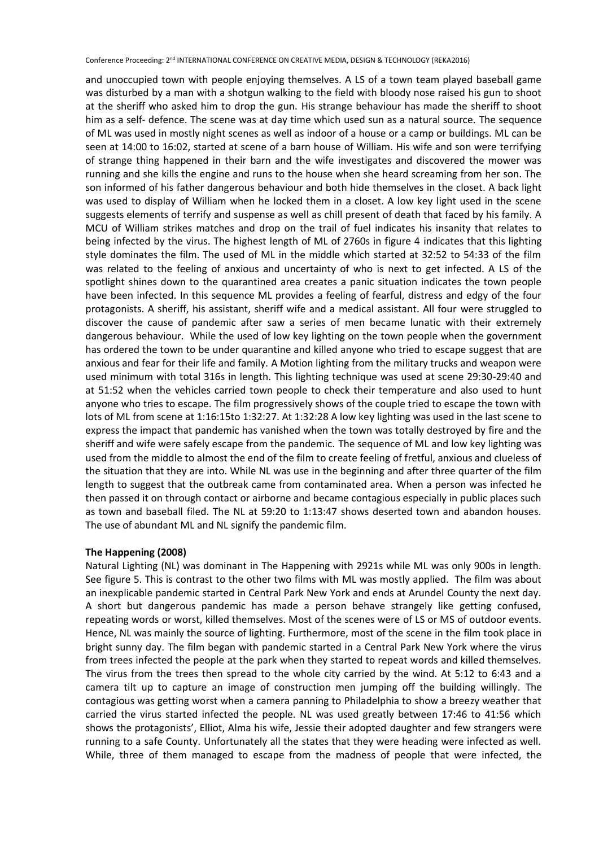and unoccupied town with people enjoying themselves. A LS of a town team played baseball game was disturbed by a man with a shotgun walking to the field with bloody nose raised his gun to shoot at the sheriff who asked him to drop the gun. His strange behaviour has made the sheriff to shoot him as a self- defence. The scene was at day time which used sun as a natural source. The sequence of ML was used in mostly night scenes as well as indoor of a house or a camp or buildings. ML can be seen at 14:00 to 16:02, started at scene of a barn house of William. His wife and son were terrifying of strange thing happened in their barn and the wife investigates and discovered the mower was running and she kills the engine and runs to the house when she heard screaming from her son. The son informed of his father dangerous behaviour and both hide themselves in the closet. A back light was used to display of William when he locked them in a closet. A low key light used in the scene suggests elements of terrify and suspense as well as chill present of death that faced by his family. A MCU of William strikes matches and drop on the trail of fuel indicates his insanity that relates to being infected by the virus. The highest length of ML of 2760s in figure 4 indicates that this lighting style dominates the film. The used of ML in the middle which started at 32:52 to 54:33 of the film was related to the feeling of anxious and uncertainty of who is next to get infected. A LS of the spotlight shines down to the quarantined area creates a panic situation indicates the town people have been infected. In this sequence ML provides a feeling of fearful, distress and edgy of the four protagonists. A sheriff, his assistant, sheriff wife and a medical assistant. All four were struggled to discover the cause of pandemic after saw a series of men became lunatic with their extremely dangerous behaviour. While the used of low key lighting on the town people when the government has ordered the town to be under quarantine and killed anyone who tried to escape suggest that are anxious and fear for their life and family. A Motion lighting from the military trucks and weapon were used minimum with total 316s in length. This lighting technique was used at scene 29:30-29:40 and at 51:52 when the vehicles carried town people to check their temperature and also used to hunt anyone who tries to escape. The film progressively shows of the couple tried to escape the town with lots of ML from scene at 1:16:15to 1:32:27. At 1:32:28 A low key lighting was used in the last scene to express the impact that pandemic has vanished when the town was totally destroyed by fire and the sheriff and wife were safely escape from the pandemic. The sequence of ML and low key lighting was used from the middle to almost the end of the film to create feeling of fretful, anxious and clueless of the situation that they are into. While NL was use in the beginning and after three quarter of the film length to suggest that the outbreak came from contaminated area. When a person was infected he then passed it on through contact or airborne and became contagious especially in public places such as town and baseball filed. The NL at 59:20 to 1:13:47 shows deserted town and abandon houses. The use of abundant ML and NL signify the pandemic film.

## **The Happening (2008)**

Natural Lighting (NL) was dominant in The Happening with 2921s while ML was only 900s in length. See figure 5. This is contrast to the other two films with ML was mostly applied. The film was about an inexplicable pandemic started in Central Park New York and ends at Arundel County the next day. A short but dangerous pandemic has made a person behave strangely like getting confused, repeating words or worst, killed themselves. Most of the scenes were of LS or MS of outdoor events. Hence, NL was mainly the source of lighting. Furthermore, most of the scene in the film took place in bright sunny day. The film began with pandemic started in a Central Park New York where the virus from trees infected the people at the park when they started to repeat words and killed themselves. The virus from the trees then spread to the whole city carried by the wind. At 5:12 to 6:43 and a camera tilt up to capture an image of construction men jumping off the building willingly. The contagious was getting worst when a camera panning to Philadelphia to show a breezy weather that carried the virus started infected the people. NL was used greatly between 17:46 to 41:56 which shows the protagonists', Elliot, Alma his wife, Jessie their adopted daughter and few strangers were running to a safe County. Unfortunately all the states that they were heading were infected as well. While, three of them managed to escape from the madness of people that were infected, the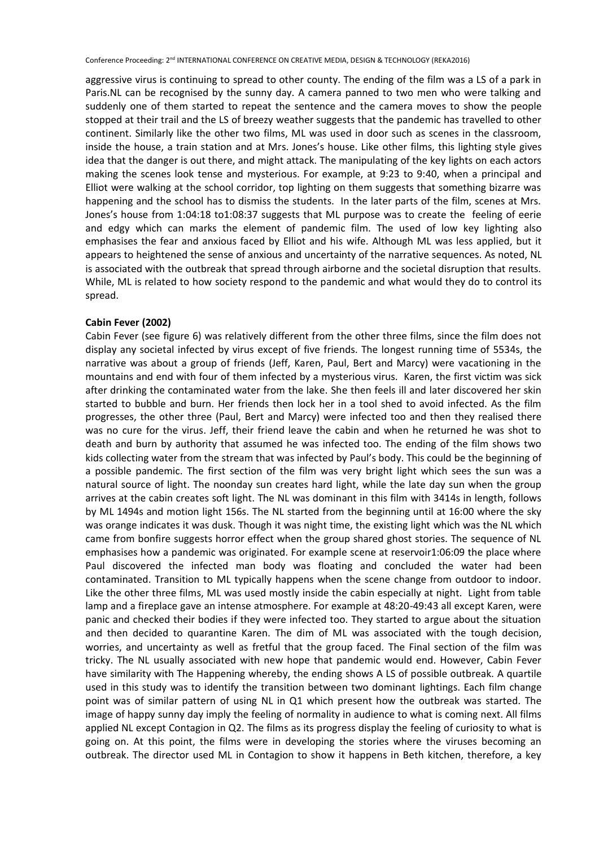aggressive virus is continuing to spread to other county. The ending of the film was a LS of a park in Paris.NL can be recognised by the sunny day. A camera panned to two men who were talking and suddenly one of them started to repeat the sentence and the camera moves to show the people stopped at their trail and the LS of breezy weather suggests that the pandemic has travelled to other continent. Similarly like the other two films, ML was used in door such as scenes in the classroom, inside the house, a train station and at Mrs. Jones's house. Like other films, this lighting style gives idea that the danger is out there, and might attack. The manipulating of the key lights on each actors making the scenes look tense and mysterious. For example, at 9:23 to 9:40, when a principal and Elliot were walking at the school corridor, top lighting on them suggests that something bizarre was happening and the school has to dismiss the students. In the later parts of the film, scenes at Mrs. Jones's house from 1:04:18 to1:08:37 suggests that ML purpose was to create the feeling of eerie and edgy which can marks the element of pandemic film. The used of low key lighting also emphasises the fear and anxious faced by Elliot and his wife. Although ML was less applied, but it appears to heightened the sense of anxious and uncertainty of the narrative sequences. As noted, NL is associated with the outbreak that spread through airborne and the societal disruption that results. While, ML is related to how society respond to the pandemic and what would they do to control its spread.

#### **Cabin Fever (2002)**

Cabin Fever (see figure 6) was relatively different from the other three films, since the film does not display any societal infected by virus except of five friends. The longest running time of 5534s, the narrative was about a group of friends (Jeff, Karen, Paul, Bert and Marcy) were vacationing in the mountains and end with four of them infected by a mysterious virus. Karen, the first victim was sick after drinking the contaminated water from the lake. She then feels ill and later discovered her skin started to bubble and burn. Her friends then lock her in a tool shed to avoid infected. As the film progresses, the other three (Paul, Bert and Marcy) were infected too and then they realised there was no cure for the virus. Jeff, their friend leave the cabin and when he returned he was shot to death and burn by authority that assumed he was infected too. The ending of the film shows two kids collecting water from the stream that was infected by Paul's body. This could be the beginning of a possible pandemic. The first section of the film was very bright light which sees the sun was a natural source of light. The noonday sun creates hard light, while the late day sun when the group arrives at the cabin creates soft light. The NL was dominant in this film with 3414s in length, follows by ML 1494s and motion light 156s. The NL started from the beginning until at 16:00 where the sky was orange indicates it was dusk. Though it was night time, the existing light which was the NL which came from bonfire suggests horror effect when the group shared ghost stories. The sequence of NL emphasises how a pandemic was originated. For example scene at reservoir1:06:09 the place where Paul discovered the infected man body was floating and concluded the water had been contaminated. Transition to ML typically happens when the scene change from outdoor to indoor. Like the other three films, ML was used mostly inside the cabin especially at night. Light from table lamp and a fireplace gave an intense atmosphere. For example at 48:20-49:43 all except Karen, were panic and checked their bodies if they were infected too. They started to argue about the situation and then decided to quarantine Karen. The dim of ML was associated with the tough decision, worries, and uncertainty as well as fretful that the group faced. The Final section of the film was tricky. The NL usually associated with new hope that pandemic would end. However, Cabin Fever have similarity with The Happening whereby, the ending shows A LS of possible outbreak. A quartile used in this study was to identify the transition between two dominant lightings. Each film change point was of similar pattern of using NL in Q1 which present how the outbreak was started. The image of happy sunny day imply the feeling of normality in audience to what is coming next. All films applied NL except Contagion in Q2. The films as its progress display the feeling of curiosity to what is going on. At this point, the films were in developing the stories where the viruses becoming an outbreak. The director used ML in Contagion to show it happens in Beth kitchen, therefore, a key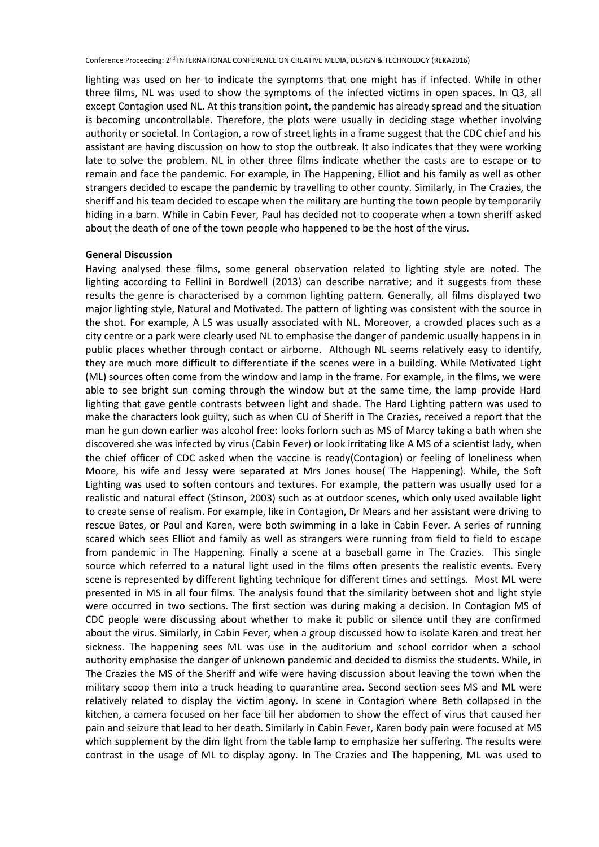lighting was used on her to indicate the symptoms that one might has if infected. While in other three films, NL was used to show the symptoms of the infected victims in open spaces. In Q3, all except Contagion used NL. At this transition point, the pandemic has already spread and the situation is becoming uncontrollable. Therefore, the plots were usually in deciding stage whether involving authority or societal. In Contagion, a row of street lights in a frame suggest that the CDC chief and his assistant are having discussion on how to stop the outbreak. It also indicates that they were working late to solve the problem. NL in other three films indicate whether the casts are to escape or to remain and face the pandemic. For example, in The Happening, Elliot and his family as well as other strangers decided to escape the pandemic by travelling to other county. Similarly, in The Crazies, the sheriff and his team decided to escape when the military are hunting the town people by temporarily hiding in a barn. While in Cabin Fever, Paul has decided not to cooperate when a town sheriff asked about the death of one of the town people who happened to be the host of the virus.

#### **General Discussion**

Having analysed these films, some general observation related to lighting style are noted. The lighting according to Fellini in Bordwell (2013) can describe narrative; and it suggests from these results the genre is characterised by a common lighting pattern. Generally, all films displayed two major lighting style, Natural and Motivated. The pattern of lighting was consistent with the source in the shot. For example, A LS was usually associated with NL. Moreover, a crowded places such as a city centre or a park were clearly used NL to emphasise the danger of pandemic usually happens in in public places whether through contact or airborne. Although NL seems relatively easy to identify, they are much more difficult to differentiate if the scenes were in a building. While Motivated Light (ML) sources often come from the window and lamp in the frame. For example, in the films, we were able to see bright sun coming through the window but at the same time, the lamp provide Hard lighting that gave gentle contrasts between light and shade. The Hard Lighting pattern was used to make the characters look guilty, such as when CU of Sheriff in The Crazies, received a report that the man he gun down earlier was alcohol free: looks forlorn such as MS of Marcy taking a bath when she discovered she was infected by virus (Cabin Fever) or look irritating like A MS of a scientist lady, when the chief officer of CDC asked when the vaccine is ready(Contagion) or feeling of loneliness when Moore, his wife and Jessy were separated at Mrs Jones house( The Happening). While, the Soft Lighting was used to soften contours and textures. For example, the pattern was usually used for a realistic and natural effect (Stinson, 2003) such as at outdoor scenes, which only used available light to create sense of realism. For example, like in Contagion, Dr Mears and her assistant were driving to rescue Bates, or Paul and Karen, were both swimming in a lake in Cabin Fever. A series of running scared which sees Elliot and family as well as strangers were running from field to field to escape from pandemic in The Happening. Finally a scene at a baseball game in The Crazies. This single source which referred to a natural light used in the films often presents the realistic events. Every scene is represented by different lighting technique for different times and settings. Most ML were presented in MS in all four films. The analysis found that the similarity between shot and light style were occurred in two sections. The first section was during making a decision. In Contagion MS of CDC people were discussing about whether to make it public or silence until they are confirmed about the virus. Similarly, in Cabin Fever, when a group discussed how to isolate Karen and treat her sickness. The happening sees ML was use in the auditorium and school corridor when a school authority emphasise the danger of unknown pandemic and decided to dismiss the students. While, in The Crazies the MS of the Sheriff and wife were having discussion about leaving the town when the military scoop them into a truck heading to quarantine area. Second section sees MS and ML were relatively related to display the victim agony. In scene in Contagion where Beth collapsed in the kitchen, a camera focused on her face till her abdomen to show the effect of virus that caused her pain and seizure that lead to her death. Similarly in Cabin Fever, Karen body pain were focused at MS which supplement by the dim light from the table lamp to emphasize her suffering. The results were contrast in the usage of ML to display agony. In The Crazies and The happening, ML was used to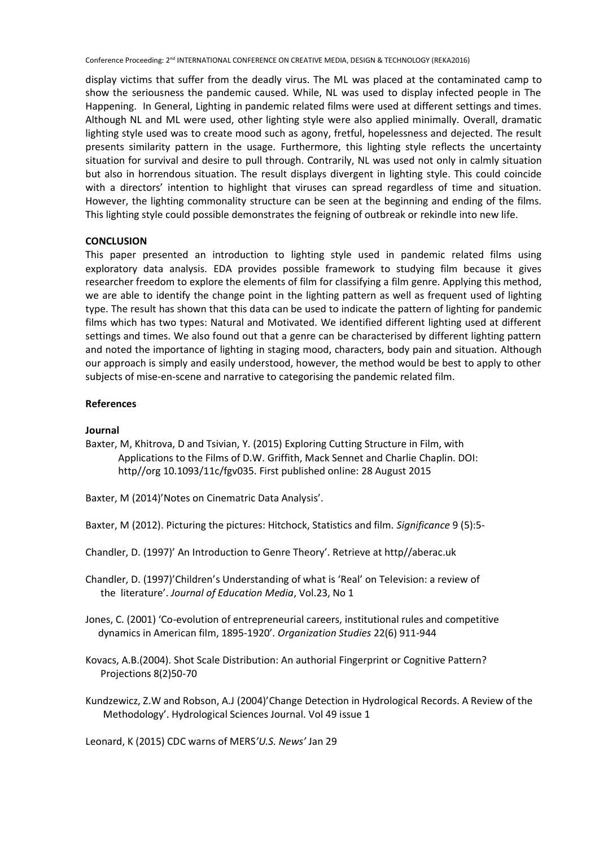display victims that suffer from the deadly virus. The ML was placed at the contaminated camp to show the seriousness the pandemic caused. While, NL was used to display infected people in The Happening. In General, Lighting in pandemic related films were used at different settings and times. Although NL and ML were used, other lighting style were also applied minimally. Overall, dramatic lighting style used was to create mood such as agony, fretful, hopelessness and dejected. The result presents similarity pattern in the usage. Furthermore, this lighting style reflects the uncertainty situation for survival and desire to pull through. Contrarily, NL was used not only in calmly situation but also in horrendous situation. The result displays divergent in lighting style. This could coincide with a directors' intention to highlight that viruses can spread regardless of time and situation. However, the lighting commonality structure can be seen at the beginning and ending of the films. This lighting style could possible demonstrates the feigning of outbreak or rekindle into new life.

## **CONCLUSION**

This paper presented an introduction to lighting style used in pandemic related films using exploratory data analysis. EDA provides possible framework to studying film because it gives researcher freedom to explore the elements of film for classifying a film genre. Applying this method, we are able to identify the change point in the lighting pattern as well as frequent used of lighting type. The result has shown that this data can be used to indicate the pattern of lighting for pandemic films which has two types: Natural and Motivated. We identified different lighting used at different settings and times. We also found out that a genre can be characterised by different lighting pattern and noted the importance of lighting in staging mood, characters, body pain and situation. Although our approach is simply and easily understood, however, the method would be best to apply to other subjects of mise-en-scene and narrative to categorising the pandemic related film.

## **References**

## **Journal**

Baxter, M, Khitrova, D and Tsivian, Y. (2015) Exploring Cutting Structure in Film, with Applications to the Films of D.W. Griffith, Mack Sennet and Charlie Chaplin. DOI: http//org 10.1093/11c/fgv035. First published online: 28 August 2015

Baxter, M (2014)'Notes on Cinematric Data Analysis'.

Baxter, M (2012). Picturing the pictures: Hitchock, Statistics and film. *Significance* 9 (5):5-

Chandler, D. (1997)' An Introduction to Genre Theory'. Retrieve at http//aberac.uk

Chandler, D. (1997)'Children's Understanding of what is 'Real' on Television: a review of the literature'. *Journal of Education Media*, Vol.23, No 1

Jones, C. (2001) 'Co-evolution of entrepreneurial careers, institutional rules and competitive dynamics in American film, 1895-1920'. *Organization Studies* 22(6) 911-944

Kovacs, A.B.(2004). Shot Scale Distribution: An authorial Fingerprint or Cognitive Pattern? Projections 8(2)50-70

Kundzewicz, Z.W and Robson, A.J (2004)'Change Detection in Hydrological Records. A Review of the Methodology'. Hydrological Sciences Journal. Vol 49 issue 1

Leonard, K (2015) CDC warns of MERS*'U.S. News'* Jan 29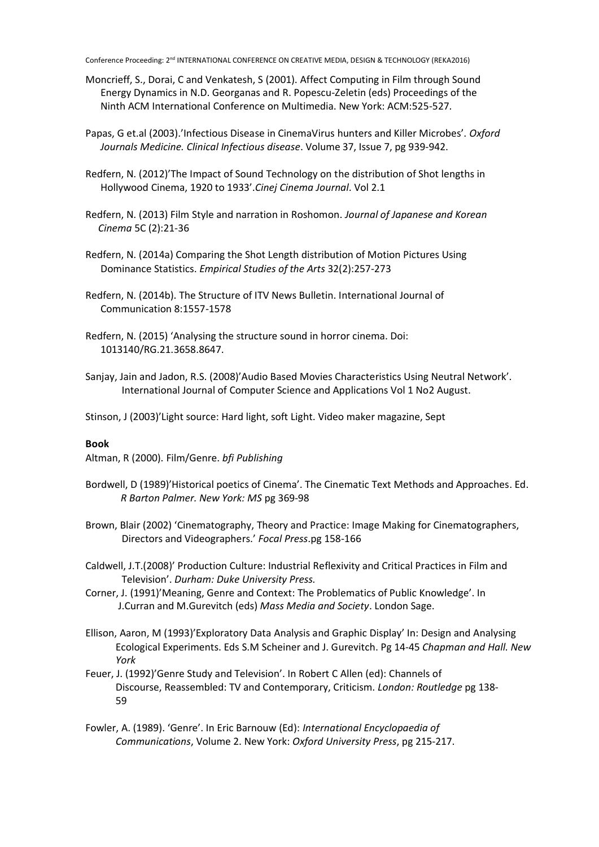- Moncrieff, S., Dorai, C and Venkatesh, S (2001). Affect Computing in Film through Sound Energy Dynamics in N.D. Georganas and R. Popescu-Zeletin (eds) Proceedings of the Ninth ACM International Conference on Multimedia. New York: ACM:525-527.
- Papas, G et.al (2003).'Infectious Disease in CinemaVirus hunters and Killer Microbes'. *Oxford Journals Medicine. Clinical Infectious disease*. Volume 37, Issue 7, pg 939-942.
- Redfern, N. (2012)'The Impact of Sound Technology on the distribution of Shot lengths in Hollywood Cinema, 1920 to 1933'.*Cinej Cinema Journal*. Vol 2.1
- Redfern, N. (2013) Film Style and narration in Roshomon. *Journal of Japanese and Korean Cinema* 5C (2):21-36
- Redfern, N. (2014a) Comparing the Shot Length distribution of Motion Pictures Using Dominance Statistics. *Empirical Studies of the Arts* 32(2):257-273
- Redfern, N. (2014b). The Structure of ITV News Bulletin. International Journal of Communication 8:1557-1578
- Redfern, N. (2015) 'Analysing the structure sound in horror cinema. Doi: 1013140/RG.21.3658.8647.
- Sanjay, Jain and Jadon, R.S. (2008)'Audio Based Movies Characteristics Using Neutral Network'. International Journal of Computer Science and Applications Vol 1 No2 August.
- Stinson, J (2003)'Light source: Hard light, soft Light. Video maker magazine, Sept

### **Book**

Altman, R (2000). Film/Genre. *bfi Publishing*

- Bordwell, D (1989)'Historical poetics of Cinema'. The Cinematic Text Methods and Approaches. Ed. *R Barton Palmer. New York: MS* pg 369-98
- Brown, Blair (2002) 'Cinematography, Theory and Practice: Image Making for Cinematographers, Directors and Videographers.' *Focal Press*.pg 158-166
- Caldwell, J.T.(2008)' Production Culture: Industrial Reflexivity and Critical Practices in Film and Television'. *Durham: Duke University Press.*
- Corner, J. (1991)'Meaning, Genre and Context: The Problematics of Public Knowledge'. In J.Curran and M.Gurevitch (eds) *Mass Media and Society*. London Sage.
- Ellison, Aaron, M (1993)'Exploratory Data Analysis and Graphic Display' In: Design and Analysing Ecological Experiments. Eds S.M Scheiner and J. Gurevitch. Pg 14-45 *Chapman and Hall. New York*
- Feuer, J. (1992)'Genre Study and Television'. In Robert C Allen (ed): Channels of Discourse, Reassembled: TV and Contemporary, Criticism. *London: Routledge* pg 138- 59
- Fowler, A. (1989). 'Genre'. In Eric Barnouw (Ed): *International Encyclopaedia of Communications*, Volume 2. New York: *Oxford University Press*, pg 215-217.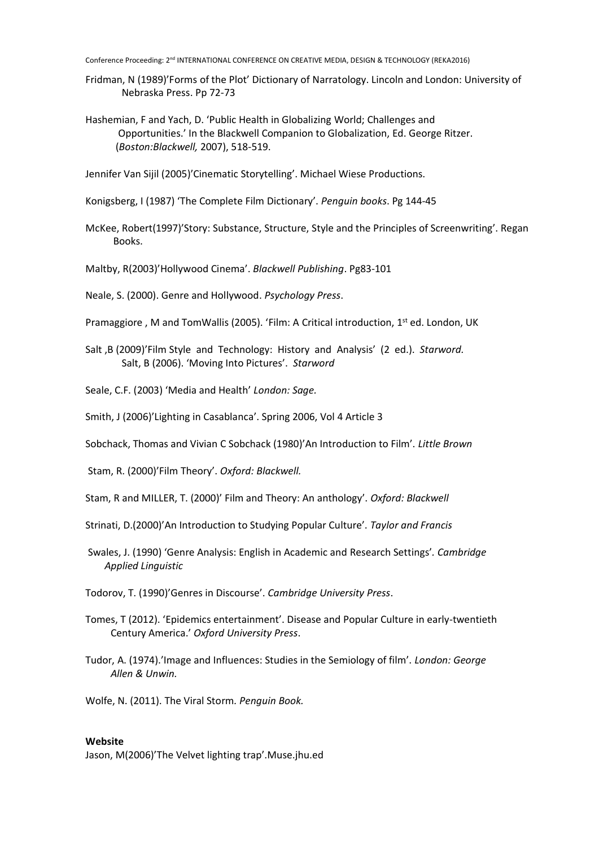- Fridman, N (1989)'Forms of the Plot' Dictionary of Narratology. Lincoln and London: University of Nebraska Press. Pp 72-73
- Hashemian, F and Yach, D. 'Public Health in Globalizing World; Challenges and Opportunities.' In the Blackwell Companion to Globalization, Ed. George Ritzer. (*Boston:Blackwell,* 2007), 518-519.

Jennifer Van Sijil (2005)'Cinematic Storytelling'. Michael Wiese Productions.

Konigsberg, I (1987) 'The Complete Film Dictionary'. *Penguin books*. Pg 144-45

- McKee, Robert(1997)'Story: Substance, Structure, Style and the Principles of Screenwriting'. Regan Books.
- Maltby, R(2003)'Hollywood Cinema'. *Blackwell Publishing*. Pg83-101

Neale, S. (2000). Genre and Hollywood. *Psychology Press*.

Pramaggiore, M and TomWallis (2005). 'Film: A Critical introduction, 1<sup>st</sup> ed. London, UK

Salt ,B (2009)'Film Style and Technology: History and Analysis' (2 ed.). *Starword.* Salt, B (2006). 'Moving Into Pictures'. *Starword*

Seale, C.F. (2003) 'Media and Health' *London: Sage.*

Smith, J (2006)'Lighting in Casablanca'. Spring 2006, Vol 4 Article 3

Sobchack, Thomas and Vivian C Sobchack (1980)'An Introduction to Film'. *Little Brown*

Stam, R. (2000)'Film Theory'. *Oxford: Blackwell.*

Stam, R and MILLER, T. (2000)' Film and Theory: An anthology'. *Oxford: Blackwell*

- Strinati, D.(2000)'An Introduction to Studying Popular Culture'. *Taylor and Francis*
- Swales, J. (1990) 'Genre Analysis: English in Academic and Research Settings'*. Cambridge Applied Linguistic*
- Todorov, T. (1990)'Genres in Discourse'. *Cambridge University Press*.
- Tomes, T (2012). 'Epidemics entertainment'. Disease and Popular Culture in early-twentieth Century America.' *Oxford University Press*.

Tudor, A. (1974).'Image and Influences: Studies in the Semiology of film'. *London: George Allen & Unwin.*

Wolfe, N. (2011). The Viral Storm*. Penguin Book.*

## **Website**

Jason, M(2006)'The Velvet lighting trap'.Muse.jhu.ed